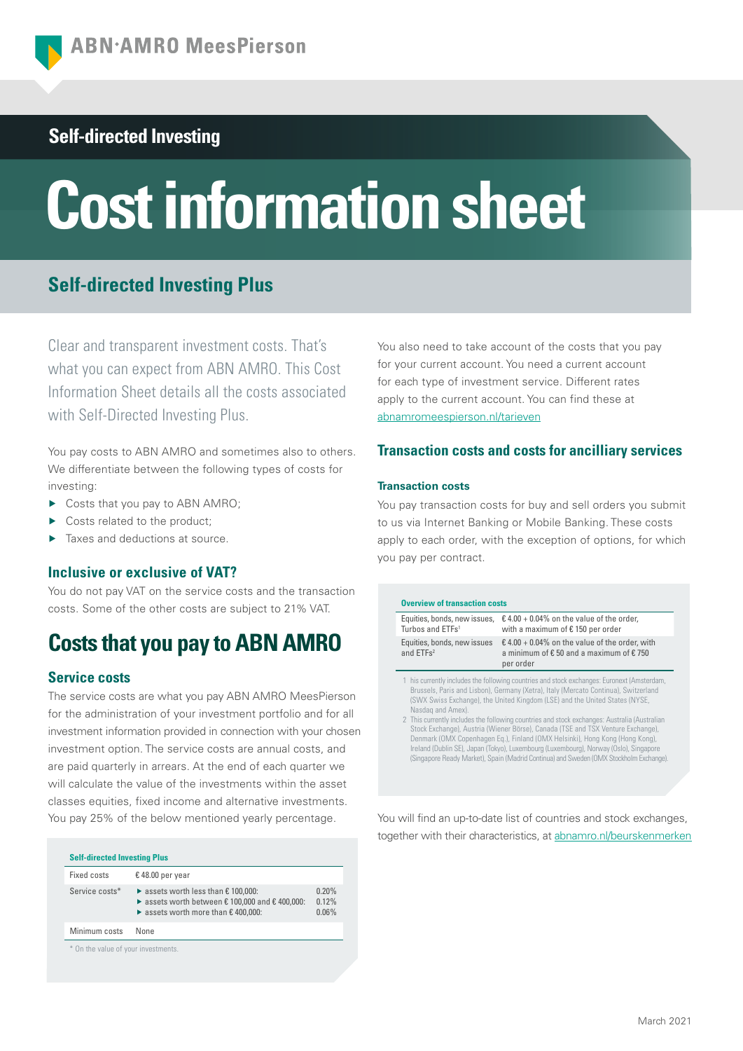# **Self-directed Investing**

# **Cost information sheet**

# **Self-directed Investing Plus**

Clear and transparent investment costs. That's what you can expect from ABN AMRO. This Cost Information Sheet details all the costs associated with Self-Directed Investing Plus.

You pay costs to ABN AMRO and sometimes also to others. We differentiate between the following types of costs for investing:

- ▶ Costs that you pay to ABN AMRO;
- Costs related to the product:
- Taxes and deductions at source.

## **Inclusive or exclusive of VAT?**

You do not pay VAT on the service costs and the transaction costs. Some of the other costs are subject to 21% VAT.

# **Costs that you pay to ABN AMRO**

## **Service costs**

The service costs are what you pay ABN AMRO MeesPierson for the administration of your investment portfolio and for all investment information provided in connection with your chosen investment option. The service costs are annual costs, and are paid quarterly in arrears. At the end of each quarter we will calculate the value of the investments within the asset classes equities, fixed income and alternative investments. You pay 25% of the below mentioned yearly percentage.

| Fixed costs    | €48.00 per year                                                                                                                                                                    |                         |
|----------------|------------------------------------------------------------------------------------------------------------------------------------------------------------------------------------|-------------------------|
| Service costs* | $\triangleright$ assets worth less than $\epsilon$ 100,000:<br>▶ assets worth between $€ 100,000$ and $€ 400,000$ :<br>$\triangleright$ assets worth more than $\epsilon$ 400,000: | 0.20%<br>0.12%<br>0.06% |
| Minimum costs  | None                                                                                                                                                                               |                         |

You also need to take account of the costs that you pay for your current account. You need a current account for each type of investment service. Different rates apply to the current account. You can find these at [abnamromeespierson.nl/tarieven](https://www.abnamro.nl/nl/privatebanking/betalen/tarieven.html)

## **Transaction costs and costs for ancilliary services**

#### **Transaction costs**

You pay transaction costs for buy and sell orders you submit to us via Internet Banking or Mobile Banking. These costs apply to each order, with the exception of options, for which you pay per contract.

#### **Overview of transaction costs**

| Equities, bonds, new issues,<br>Turbos and ETFs <sup>1</sup> | $\text{\textsterling}$ 4.00 + 0.04% on the value of the order,<br>with a maximum of €150 per order                                                                                                                                                               |
|--------------------------------------------------------------|------------------------------------------------------------------------------------------------------------------------------------------------------------------------------------------------------------------------------------------------------------------|
| Equities, bonds, new issues<br>and ETFs <sup>2</sup>         | $\text{\textsterling}$ 4.00 + 0.04% on the value of the order, with<br>a minimum of $\epsilon$ 50 and a maximum of $\epsilon$ 750<br>per order                                                                                                                   |
| Nasdag and Amex).                                            | 1 his currently includes the following countries and stock exchanges: Euronext (Amsterdam,<br>Brussels, Paris and Lisbon), Germany (Xetra), Italy (Mercato Continua), Switzerland<br>(SWX Swiss Exchange), the United Kingdom (LSE) and the United States (NYSE, |

Nasdaq and Amex). 2 This currently includes the following countries and stock exchanges: Australia (Australian Stock Exchange), Austria (Wiener Börse), Canada (TSE and TSX Venture Exchange), Denmark (OMX Copenhagen Eq.), Finland (OMX Helsinki), Hong Kong (Hong Kong), Ireland (Dublin SE), Japan (Tokyo), Luxembourg (Luxembourg), Norway (Oslo), Singapore (Singapore Ready Market), Spain (Madrid Continua) and Sweden (OMX Stockholm Exchange).

You will find an up-to-date list of countries and stock exchanges, together with their characteristics, at [abnamro.nl/beurskenmerken](https://www.abnamro.nl/nl/prive/beleggen/service/beleggingsorders/beurskenmerken.html)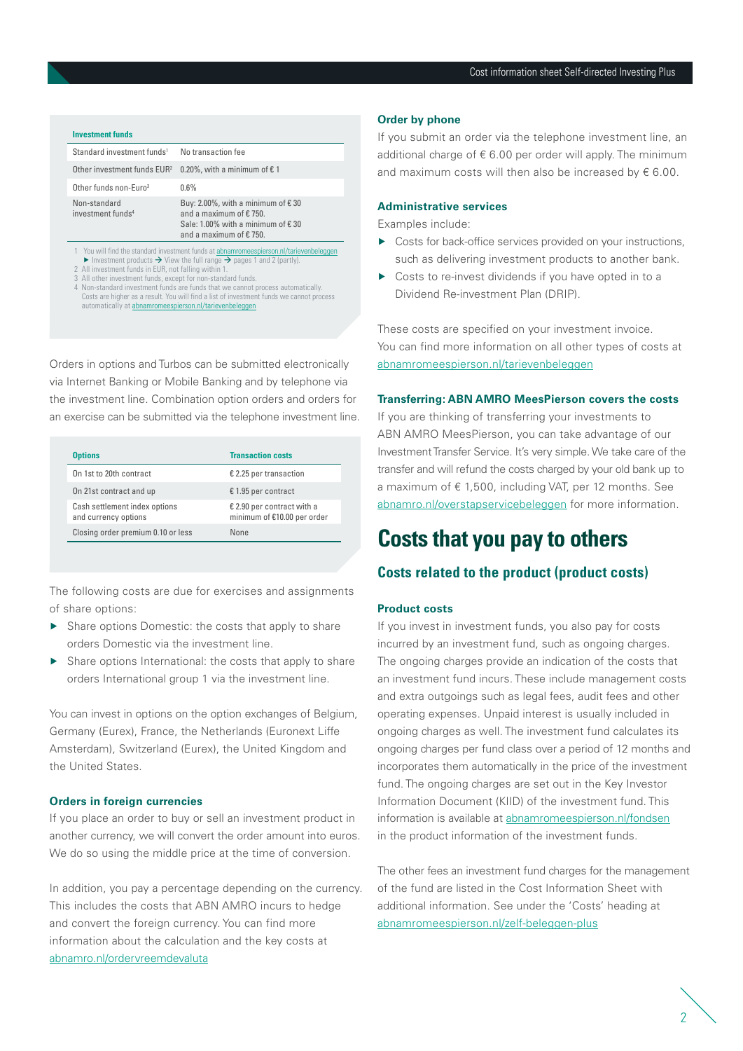| <b>Investment funds</b>                                                                                                                                                                                                                        |                                                                                                                                         |  |  |  |  |
|------------------------------------------------------------------------------------------------------------------------------------------------------------------------------------------------------------------------------------------------|-----------------------------------------------------------------------------------------------------------------------------------------|--|--|--|--|
| Standard investment funds <sup>1</sup>                                                                                                                                                                                                         | No transaction fee                                                                                                                      |  |  |  |  |
| Other investment funds EUR <sup>2</sup>                                                                                                                                                                                                        | 0.20%, with a minimum of $\epsilon$ 1                                                                                                   |  |  |  |  |
| Other funds non-Euro <sup>3</sup>                                                                                                                                                                                                              | 0.6%                                                                                                                                    |  |  |  |  |
| Non-standard<br>investment funds <sup>4</sup>                                                                                                                                                                                                  | Buy: 2.00%, with a minimum of $\epsilon$ 30<br>and a maximum of €750.<br>Sale: 1.00% with a minimum of €30<br>and a maximum of $£750$ . |  |  |  |  |
| 1 You will find the standard investment funds at abnamromeespierson.nl/tarievenbeleggen<br>Investment products $\rightarrow$ View the full range $\rightarrow$ pages 1 and 2 (partly).<br>2 All investment funds in EUR, not falling within 1. |                                                                                                                                         |  |  |  |  |

- 2 All investment funds in EUR, not falling within 1. 3 All other investment funds, except for non-standard funds.
- 4 Non-standard investment funds are funds that we cannot process automatically. Costs are higher as a result. You will find a list of investment funds we cannot process automatically at [abnamromeespierson.nl/tarievenbeleggen](https://www.abnamro.nl/nl/privatebanking/beleggen/tarieven.html)

Orders in options and Turbos can be submitted electronically via Internet Banking or Mobile Banking and by telephone via the investment line. Combination option orders and orders for an exercise can be submitted via the telephone investment line.

| <b>Options</b>                                        | <b>Transaction costs</b>                                  |
|-------------------------------------------------------|-----------------------------------------------------------|
| On 1st to 20th contract                               | € 2.25 per transaction                                    |
| On 21st contract and up                               | € 1.95 per contract                                       |
| Cash settlement index options<br>and currency options | € 2.90 per contract with a<br>minimum of €10.00 per order |
| Closing order premium 0.10 or less                    | None                                                      |

The following costs are due for exercises and assignments of share options:

- ▶ Share options Domestic: the costs that apply to share orders Domestic via the investment line.
- ▶ Share options International: the costs that apply to share orders International group 1 via the investment line.

You can invest in options on the option exchanges of Belgium, Germany (Eurex), France, the Netherlands (Euronext Liffe Amsterdam), Switzerland (Eurex), the United Kingdom and the United States.

#### **Orders in foreign currencies**

If you place an order to buy or sell an investment product in another currency, we will convert the order amount into euros. We do so using the middle price at the time of conversion.

In addition, you pay a percentage depending on the currency. This includes the costs that ABN AMRO incurs to hedge and convert the foreign currency. You can find more information about the calculation and the key costs at [abnamro.nl/ordervreemdevaluta](https://www.abnamro.nl/nl/prive/beleggen/service/beleggingsorders/index.html?pos=vku_ordervreemdevaluta#vreemdevaluta)

#### **Order by phone**

If you submit an order via the telephone investment line, an additional charge of  $\epsilon$  6.00 per order will apply. The minimum and maximum costs will then also be increased by  $\epsilon$  6.00.

#### **Administrative services**

Examples include:

- ▶ Costs for back-office services provided on your instructions, such as delivering investment products to another bank.
- Costs to re-invest dividends if you have opted in to a Dividend Re-investment Plan (DRIP).

These costs are specified on your investment invoice. You can find more information on all other types of costs at [abnamromeespierson.nl/tarievenbeleggen](https://www.abnamro.nl/nl/privatebanking/beleggen/tarieven.html)

#### **Transferring: ABN AMRO MeesPierson covers the costs**

If you are thinking of transferring your investments to ABN AMRO MeesPierson, you can take advantage of our Investment Transfer Service. It's very simple. We take care of the transfer and will refund the costs charged by your old bank up to a maximum of € 1,500, including VAT, per 12 months. See [abnamro.nl/overstapservicebeleggen](https://www.abnamro.nl/nl/prive/beleggen/service/overstapservice-beleggen/index.html?pos=vku_overstapservicebeleggen) for more information.

# **Costs that you pay to others**

### **Costs related to the product (product costs)**

#### **Product costs**

If you invest in investment funds, you also pay for costs incurred by an investment fund, such as ongoing charges. The ongoing charges provide an indication of the costs that an investment fund incurs. These include management costs and extra outgoings such as legal fees, audit fees and other operating expenses. Unpaid interest is usually included in ongoing charges as well. The investment fund calculates its ongoing charges per fund class over a period of 12 months and incorporates them automatically in the price of the investment fund. The ongoing charges are set out in the Key Investor Information Document (KIID) of the investment fund. This information is available at [abnamromeespierson.nl/fondsen](https://www.abnamro.nl/nl/privatebanking/index.html?pos=vku_abnamromeespierson) in the product information of the investment funds.

The other fees an investment fund charges for the management of the fund are listed in the Cost Information Sheet with additional information. See under the 'Costs' heading at [abnamromeespierson.nl/zelf-beleggen-plus](https://www.abnamro.nl/nl/privatebanking/index.html?pos=vku_abnamromeespierson)